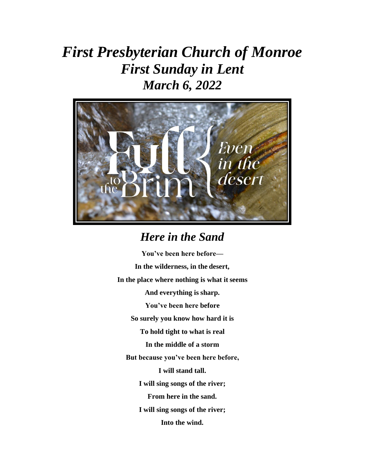# *First Presbyterian Church of Monroe First Sunday in Lent March 6, 2022*



### *Here in the Sand*

**You've been here before— In the wilderness, in the desert, In the place where nothing is what it seems And everything is sharp. You've been here before So surely you know how hard it is To hold tight to what is real In the middle of a storm But because you've been here before, I will stand tall. I will sing songs of the river; From here in the sand. I will sing songs of the river; Into the wind.**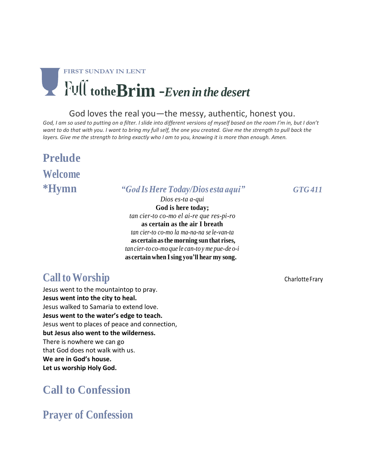

#### God loves the real you—the messy, authentic, honest you.

God, I am so used to putting on a filter. I slide into different versions of myself based on the room I'm in, but I don't want to do that with you. I want to bring my full self, the one you created. Give me the strength to pull back the *layers. Give me the strength to bring exactly who I am to you, knowing it is more than enough. Amen.*

# **Prelude Welcome**

#### **\*Hymn** *"God IsHere Today/Dios esta aqui" GTG 411*

*Dios es-ta a-qui* **God is here today;** *tan cier-to co-mo el ai-re que res-pi-ro* **as certain as the air I breath** *tan cier-to co-mo la ma-na-na se le-van-ta* **as certain asthe morning sun that rises,**  *tancier-to co-mo que le can-to y me pue-de o-i*  **as certain when Ising you'll hear my song.**

### **Call to Worship** Charlotte Frary

Jesus went to the mountaintop to pray. **Jesus went into the city to heal.** Jesus walked to Samaria to extend love. **Jesus went to the water's edge to teach.**  Jesus went to places of peace and connection, **but Jesus also went to the wilderness.** There is nowhere we can go that God does not walk with us. **We are in God's house. Let us worship Holy God.**

### **Call to Confession**

**Prayer of Confession**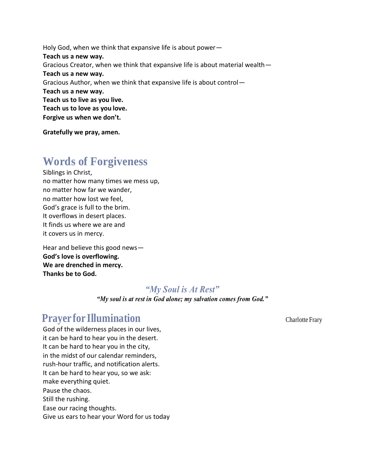Holy God, when we think that expansive life is about power— **Teach us a new way.** Gracious Creator, when we think that expansive life is about material wealth— **Teach us a new way.** Gracious Author, when we think that expansive life is about control— **Teach us a new way. Teach us to live as you live. Teach us to love as you love. Forgive us when we don't.**

**Gratefully we pray, amen.**

### **Words of Forgiveness**

Siblings in Christ, no matter how many times we mess up, no matter how far we wander, no matter how lost we feel, God's grace is full to the brim. It overflows in desert places. It finds us where we are and it covers us in mercy.

Hear and believe this good news— **God's love is overflowing. We are drenched in mercy. Thanks be to God.**

#### *"My Soul is At Rest"*

*"My soul is at rest in God alone; my salvation comes from God."*

#### **Prayer for Illumination** Charlotte Frary

God of the wilderness places in our lives, it can be hard to hear you in the desert. It can be hard to hear you in the city, in the midst of our calendar reminders, rush-hour traffic, and notification alerts. It can be hard to hear you, so we ask: make everything quiet. Pause the chaos. Still the rushing. Ease our racing thoughts. Give us ears to hear your Word for us today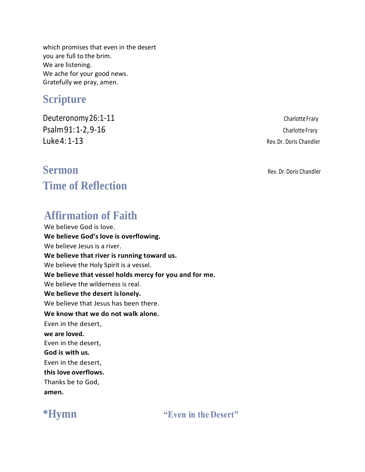which promises that even in the desert you are full to the brim. We are listening. We ache for your good news. Gratefully we pray, amen.

### **Scripture**

Deuteronomy 26:1-11 Charlotte Frary Psalm91:1-2,9-16 Charlotte Frary Luke 4: 1-13 Rev.Dr. Doris Chandler

### **Sermon** Rev. Dr. Doris Chandler **Time of Reflection**

### **Affirmation of Faith**

We believe God is love. **We believe God's love is overflowing.** We believe Jesus is a river. **We believe that river is running toward us.** We believe the Holy Spirit is a vessel. **We believe that vessel holds mercy for you and for me.** We believe the wilderness is real. **We believe the desert islonely.** We believe that Jesus has been there. **We know that we do not walk alone.**  Even in the desert, **we are loved.** Even in the desert, **God is with us.**  Even in the desert, **this love overflows.**  Thanks be to God, **amen.**



**\*Hymn "Even in the Desert"**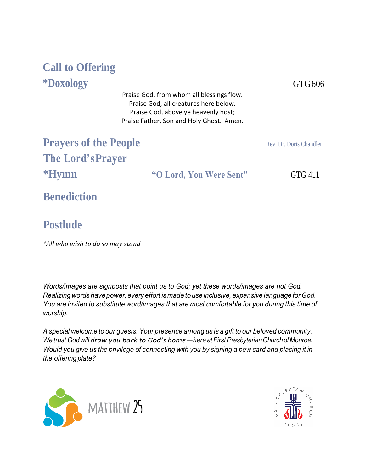## **Call to Offering \*Doxology** GTG606

Praise God, from whom all blessings flow. Praise God, all creatures here below. Praise God, above ye heavenly host; Praise Father, Son and Holy Ghost. Amen.

**Prayers of the People The Lord'sPrayer \*Hymn "O Lord, You Were Sent"** GTG 411

Rev. Dr. Doris Chandler

**Benediction**

### **Postlude**

*\*All who wish to do so may stand*

*Words/images are signposts that point us to God; yet these words/images are not God. Realizingwords have power, every effort ismade to use inclusive, expansive language forGod. You are invited to substitute word/images that are most comfortable for you during this time of worship.*

*A special welcome to our guests. Your presence among us is a gift to our beloved community. We trust Godwill draw you back to God's home—here at First PresbyterianChurchofMonroe.*  Would you give us the privilege of connecting with you by signing a pew card and placing it in *the offering plate?*



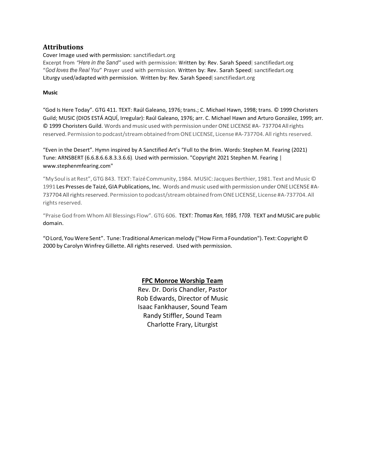#### **Attributions**

Cover Image used with permission: sanctifiedart.org

Excerpt from *"Here in the Sand"* used with permission: Written by: Rev. Sarah Speed| sanctifiedart.org "*God loves the Real You*" Prayer used with permission. Written by: Rev. Sarah Speed| sanctifiedart.org Liturgy used/adapted with permission. Written by: Rev. Sarah Speed| sanctifiedart.org

#### **Music**

"God Is Here Today". GTG 411. TEXT: Raúl Galeano, 1976; trans.; C. Michael Hawn, 1998; trans. © 1999 Choristers Guild; MUSIC (DIOS ESTÁ AQUÍ, Irregular): Raúl Galeano, 1976; arr. C. Michael Hawn and Arturo González, 1999; arr. © 1999 Choristers Guild. Words andmusic used with permission underONE LICENSE #A- 737704 Allrights reserved. Permission to podcast/stream obtained from ONE LICENSE, License #A-737704. All rights reserved.

"Even in the Desert". Hymn inspired by A Sanctified Art's "Full to the Brim. Words: Stephen M. Fearing (2021) Tune: ARNSBERT (6.6.8.6.6.8.3.3.6.6)*.* Used with permission. "Copyright 2021 Stephen M. Fearing | [www.stephenmfearing.com"](http://www.stephenmfearing.com/)

"My Soul is at Rest",GTG 843. TEXT: TaizéCommunity, 1984. MUSIC:Jacques Berthier, 1981. Text and Music © 1991 Les Presses de Taizé, GIA Publications, Inc. Words and music used with permission under ONE LICENSE #A-737704 All rights reserved. Permission to podcast/stream obtained from ONE LICENSE, License #A-737704. All rights reserved.

"Praise God from Whom All Blessings Flow". GTG 606. TEXT*: Thomas Ken, 1695, 1709.* TEXT and MUSIC are public domain.

"OLord, You Were Sent". Tune: TraditionalAmericanmelody ("How Firma Foundation"). Text:Copyright© 2000 by Carolyn Winfrey Gillette. All rights reserved. Used with permission.

#### **FPC Monroe Worship Team**

Rev. Dr. Doris Chandler, Pastor Rob Edwards, Director of Music Isaac Fankhauser, Sound Team Randy Stiffler, Sound Team Charlotte Frary, Liturgist